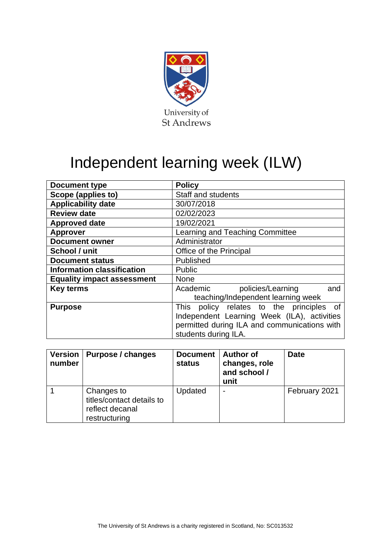

# Independent learning week (ILW)

| <b>Document type</b>              | <b>Policy</b>                                |  |  |  |
|-----------------------------------|----------------------------------------------|--|--|--|
| Scope (applies to)                | <b>Staff and students</b>                    |  |  |  |
| <b>Applicability date</b>         | 30/07/2018                                   |  |  |  |
| <b>Review date</b>                | 02/02/2023                                   |  |  |  |
| <b>Approved date</b>              | 19/02/2021                                   |  |  |  |
| <b>Approver</b>                   | Learning and Teaching Committee              |  |  |  |
| <b>Document owner</b>             | Administrator                                |  |  |  |
| School / unit                     | Office of the Principal                      |  |  |  |
| <b>Document status</b>            | Published                                    |  |  |  |
| <b>Information classification</b> | <b>Public</b>                                |  |  |  |
| <b>Equality impact assessment</b> | <b>None</b>                                  |  |  |  |
| <b>Key terms</b>                  | Academic<br>policies/Learning<br>and         |  |  |  |
|                                   | teaching/Independent learning week           |  |  |  |
| <b>Purpose</b>                    | This policy relates to the principles of     |  |  |  |
|                                   | Independent Learning Week (ILA), activities  |  |  |  |
|                                   | permitted during ILA and communications with |  |  |  |
|                                   | students during ILA.                         |  |  |  |

| <b>Version</b><br>number | Purpose / changes                                                           | <b>Document</b><br>status | <b>Author of</b><br>changes, role<br>and school /<br>unit | <b>Date</b>   |
|--------------------------|-----------------------------------------------------------------------------|---------------------------|-----------------------------------------------------------|---------------|
|                          | Changes to<br>titles/contact details to<br>reflect decanal<br>restructuring | Updated                   | $\overline{\phantom{0}}$                                  | February 2021 |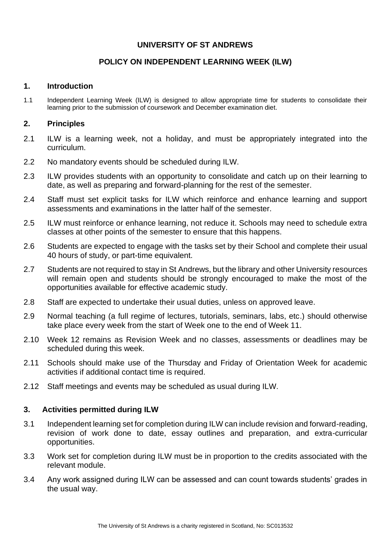## **UNIVERSITY OF ST ANDREWS**

## **POLICY ON INDEPENDENT LEARNING WEEK (ILW)**

#### **1. Introduction**

1.1 Independent Learning Week (ILW) is designed to allow appropriate time for students to consolidate their learning prior to the submission of coursework and December examination diet.

### **2. Principles**

- 2.1 ILW is a learning week, not a holiday, and must be appropriately integrated into the curriculum.
- 2.2 No mandatory events should be scheduled during ILW.
- 2.3 ILW provides students with an opportunity to consolidate and catch up on their learning to date, as well as preparing and forward-planning for the rest of the semester.
- 2.4 Staff must set explicit tasks for ILW which reinforce and enhance learning and support assessments and examinations in the latter half of the semester.
- 2.5 ILW must reinforce or enhance learning, not reduce it. Schools may need to schedule extra classes at other points of the semester to ensure that this happens.
- 2.6 Students are expected to engage with the tasks set by their School and complete their usual 40 hours of study, or part-time equivalent.
- 2.7 Students are not required to stay in St Andrews, but the library and other University resources will remain open and students should be strongly encouraged to make the most of the opportunities available for effective academic study.
- 2.8 Staff are expected to undertake their usual duties, unless on approved leave.
- 2.9 Normal teaching (a full regime of lectures, tutorials, seminars, labs, etc.) should otherwise take place every week from the start of Week one to the end of Week 11.
- 2.10 Week 12 remains as Revision Week and no classes, assessments or deadlines may be scheduled during this week.
- 2.11 Schools should make use of the Thursday and Friday of Orientation Week for academic activities if additional contact time is required.
- 2.12 Staff meetings and events may be scheduled as usual during ILW.

## **3. Activities permitted during ILW**

- 3.1 Independent learning set for completion during ILW can include revision and forward-reading, revision of work done to date, essay outlines and preparation, and extra-curricular opportunities.
- 3.3 Work set for completion during ILW must be in proportion to the credits associated with the relevant module.
- 3.4 Any work assigned during ILW can be assessed and can count towards students' grades in the usual way.